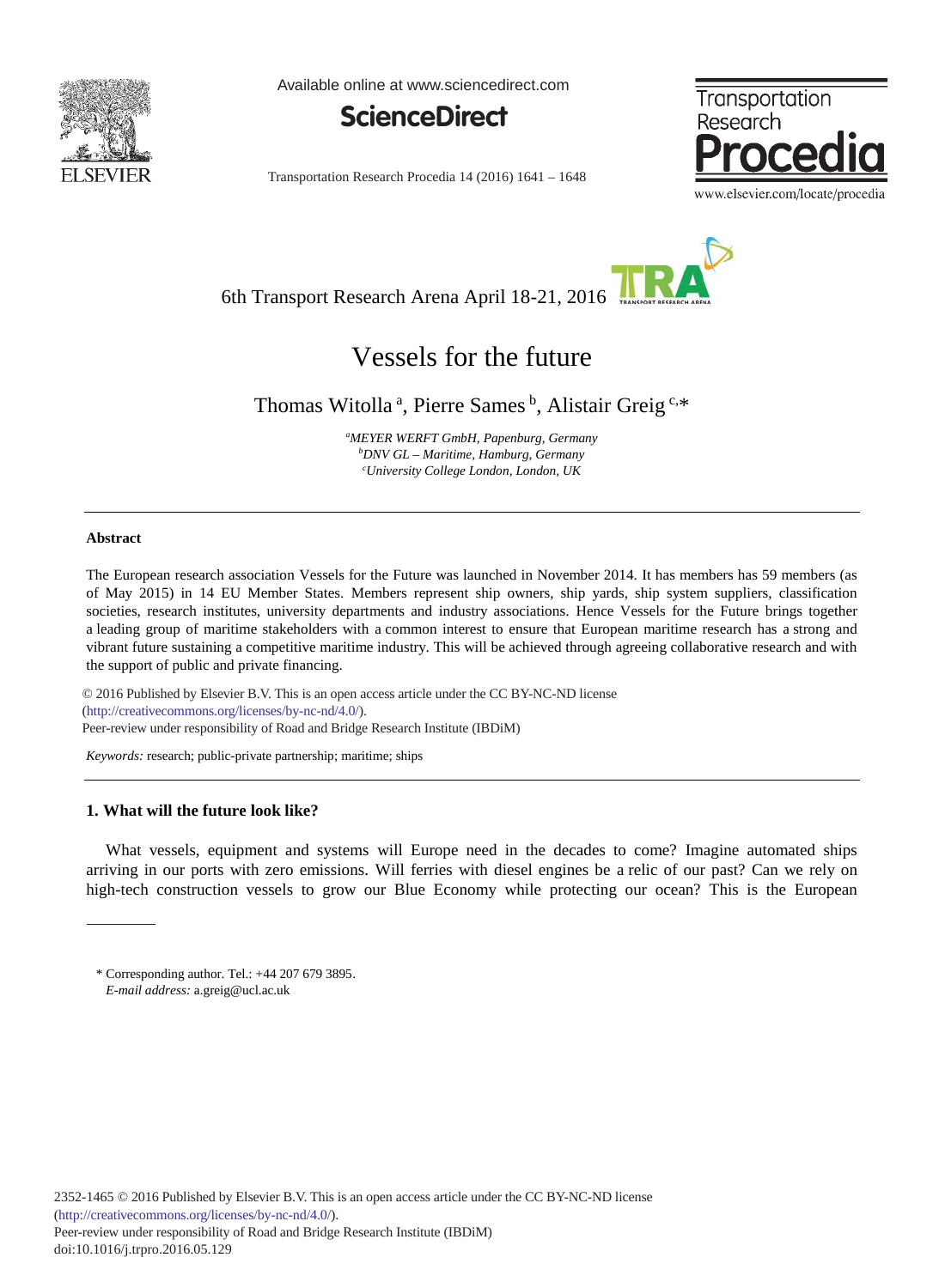

Available online at www.sciencedirect.com





Transportation Research Procedia 14 (2016) 1641 - 1648

# 6th Transport Research Arena April 18-21, 2016



# Vessels for the future

Thomas Witolla<sup>a</sup>, Pierre Sames<sup>b</sup>, Alistair Greig<sup>c,\*</sup>

*a MEYER WERFT GmbH, Papenburg, Germany b DNV GL – Maritime, Hamburg, Germany c University College London, London, UK*

#### **Abstract**

The European research association Vessels for the Future was launched in November 2014. It has members has 59 members (as of May 2015) in 14 EU Member States. Members represent ship owners, ship yards, ship system suppliers, classification societies, research institutes, university departments and industry associations. Hence Vessels for the Future brings together a leading group of maritime stakeholders with a common interest to ensure that European maritime research has a strong and vibrant future sustaining a competitive maritime industry. This will be achieved through agreeing collaborative research and with the support of public and private financing.

 $\odot$  2016 Published by Elsevier B.V. This is an open access article under the CC BY-NC-ND license Peer-review under responsibility of Road and Bridge Research Institute (IBDiM). Peer-review under responsibility of Road and Bridge Research Institute (IBDiM)(http://creativecommons.org/licenses/by-nc-nd/4.0/).

*Keywords:* research; public-private partnership; maritime; ships

## **1. What will the future look like?**

What vessels, equipment and systems will Europe need in the decades to come? Imagine automated ships arriving in our ports with zero emissions. Will ferries with diesel engines be a relic of our past? Can we rely on high-tech construction vessels to grow our Blue Economy while protecting our ocean? This is the European

\* Corresponding author. Tel.: +44 207 679 3895. *E-mail address:* a.greig@ucl.ac.uk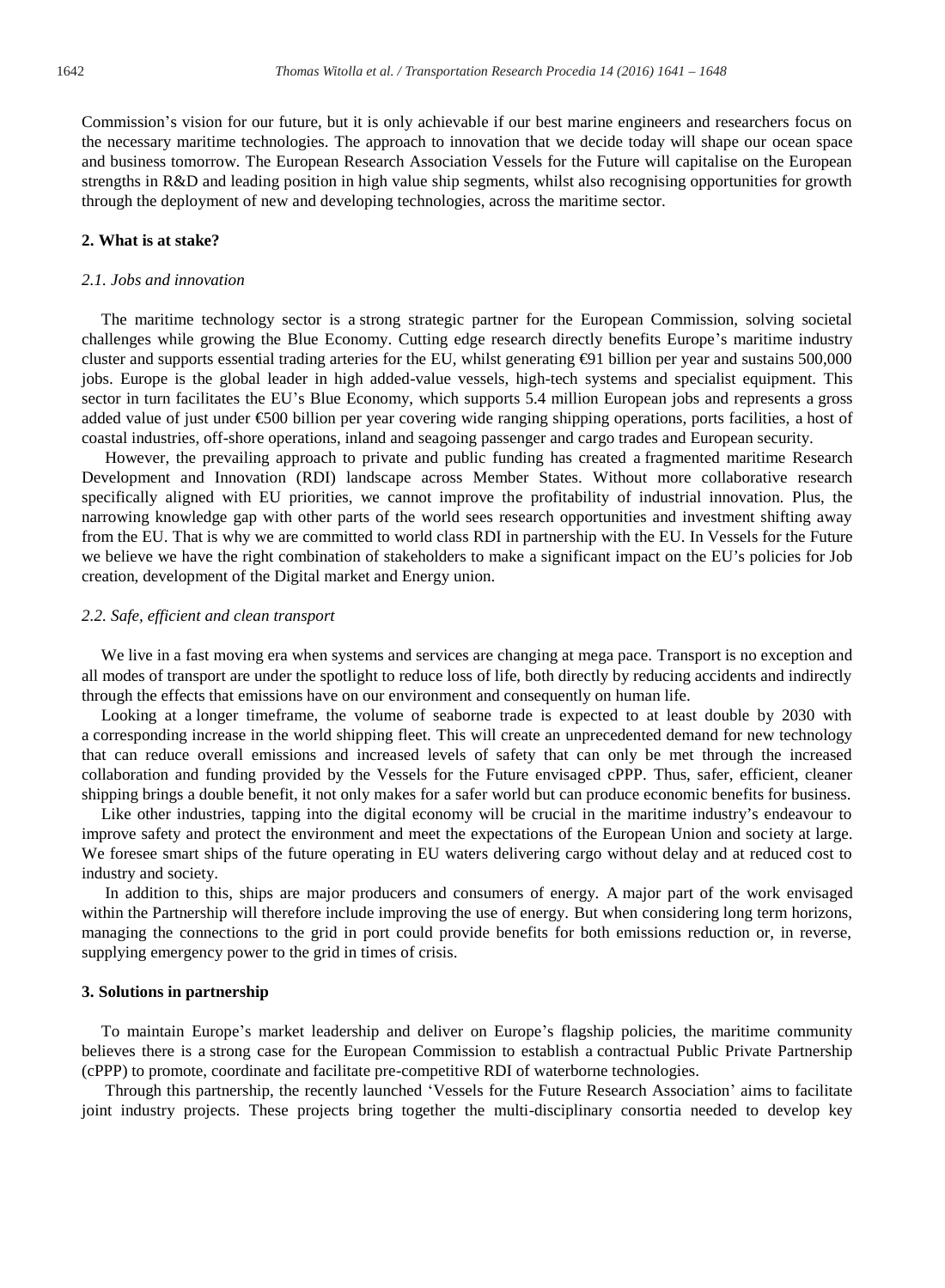Commission's vision for our future, but it is only achievable if our best marine engineers and researchers focus on the necessary maritime technologies. The approach to innovation that we decide today will shape our ocean space and business tomorrow. The European Research Association Vessels for the Future will capitalise on the European strengths in R&D and leading position in high value ship segments, whilst also recognising opportunities for growth through the deployment of new and developing technologies, across the maritime sector.

#### **2. What is at stake?**

#### *2.1. Jobs and innovation*

The maritime technology sector is a strong strategic partner for the European Commission, solving societal challenges while growing the Blue Economy. Cutting edge research directly benefits Europe's maritime industry cluster and supports essential trading arteries for the EU, whilst generating  $\bigoplus$  billion per year and sustains 500,000 jobs. Europe is the global leader in high added-value vessels, high-tech systems and specialist equipment. This sector in turn facilitates the EU's Blue Economy, which supports 5.4 million European jobs and represents a gross added value of just under €500 billion per year covering wide ranging shipping operations, ports facilities, a host of coastal industries, off-shore operations, inland and seagoing passenger and cargo trades and European security.

However, the prevailing approach to private and public funding has created a fragmented maritime Research Development and Innovation (RDI) landscape across Member States. Without more collaborative research specifically aligned with EU priorities, we cannot improve the profitability of industrial innovation. Plus, the narrowing knowledge gap with other parts of the world sees research opportunities and investment shifting away from the EU. That is why we are committed to world class RDI in partnership with the EU. In Vessels for the Future we believe we have the right combination of stakeholders to make a significant impact on the EU's policies for Job creation, development of the Digital market and Energy union.

#### *2.2. Safe, efficient and clean transport*

We live in a fast moving era when systems and services are changing at mega pace. Transport is no exception and all modes of transport are under the spotlight to reduce loss of life, both directly by reducing accidents and indirectly through the effects that emissions have on our environment and consequently on human life.

Looking at a longer timeframe, the volume of seaborne trade is expected to at least double by 2030 with a corresponding increase in the world shipping fleet. This will create an unprecedented demand for new technology that can reduce overall emissions and increased levels of safety that can only be met through the increased collaboration and funding provided by the Vessels for the Future envisaged cPPP. Thus, safer, efficient, cleaner shipping brings a double benefit, it not only makes for a safer world but can produce economic benefits for business.

Like other industries, tapping into the digital economy will be crucial in the maritime industry's endeavour to improve safety and protect the environment and meet the expectations of the European Union and society at large. We foresee smart ships of the future operating in EU waters delivering cargo without delay and at reduced cost to industry and society.

In addition to this, ships are major producers and consumers of energy. A major part of the work envisaged within the Partnership will therefore include improving the use of energy. But when considering long term horizons, managing the connections to the grid in port could provide benefits for both emissions reduction or, in reverse, supplying emergency power to the grid in times of crisis.

#### **3. Solutions in partnership**

To maintain Europe's market leadership and deliver on Europe's flagship policies, the maritime community believes there is a strong case for the European Commission to establish a contractual Public Private Partnership (cPPP) to promote, coordinate and facilitate pre-competitive RDI of waterborne technologies.

Through this partnership, the recently launched ʻVessels for the Future Research Association' aims to facilitate joint industry projects. These projects bring together the multi-disciplinary consortia needed to develop key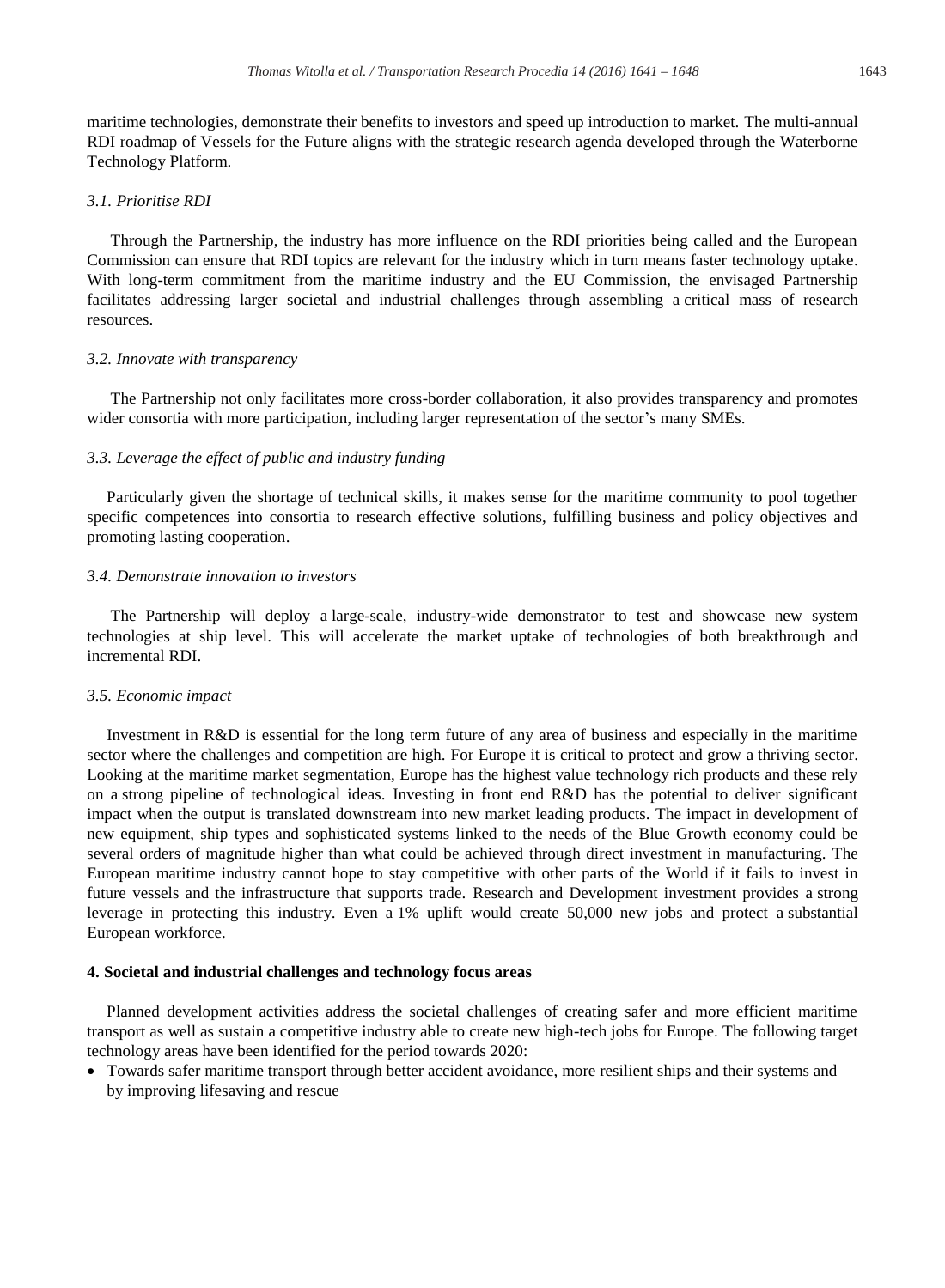maritime technologies, demonstrate their benefits to investors and speed up introduction to market. The multi-annual RDI roadmap of Vessels for the Future aligns with the strategic research agenda developed through the Waterborne Technology Platform.

## *3.1. Prioritise RDI*

Through the Partnership, the industry has more influence on the RDI priorities being called and the European Commission can ensure that RDI topics are relevant for the industry which in turn means faster technology uptake. With long-term commitment from the maritime industry and the EU Commission, the envisaged Partnership facilitates addressing larger societal and industrial challenges through assembling a critical mass of research resources.

#### *3.2. Innovate with transparency*

The Partnership not only facilitates more cross-border collaboration, it also provides transparency and promotes wider consortia with more participation, including larger representation of the sector's many SMEs.

#### *3.3. Leverage the effect of public and industry funding*

Particularly given the shortage of technical skills, it makes sense for the maritime community to pool together specific competences into consortia to research effective solutions, fulfilling business and policy objectives and promoting lasting cooperation.

#### *3.4. Demonstrate innovation to investors*

The Partnership will deploy a large-scale, industry-wide demonstrator to test and showcase new system technologies at ship level. This will accelerate the market uptake of technologies of both breakthrough and incremental RDI.

#### *3.5. Economic impact*

Investment in R&D is essential for the long term future of any area of business and especially in the maritime sector where the challenges and competition are high. For Europe it is critical to protect and grow a thriving sector. Looking at the maritime market segmentation, Europe has the highest value technology rich products and these rely on a strong pipeline of technological ideas. Investing in front end R&D has the potential to deliver significant impact when the output is translated downstream into new market leading products. The impact in development of new equipment, ship types and sophisticated systems linked to the needs of the Blue Growth economy could be several orders of magnitude higher than what could be achieved through direct investment in manufacturing. The European maritime industry cannot hope to stay competitive with other parts of the World if it fails to invest in future vessels and the infrastructure that supports trade. Research and Development investment provides a strong leverage in protecting this industry. Even a 1% uplift would create 50,000 new jobs and protect a substantial European workforce.

#### **4. Societal and industrial challenges and technology focus areas**

Planned development activities address the societal challenges of creating safer and more efficient maritime transport as well as sustain a competitive industry able to create new high-tech jobs for Europe. The following target technology areas have been identified for the period towards 2020:

• Towards safer maritime transport through better accident avoidance, more resilient ships and their systems and by improving lifesaving and rescue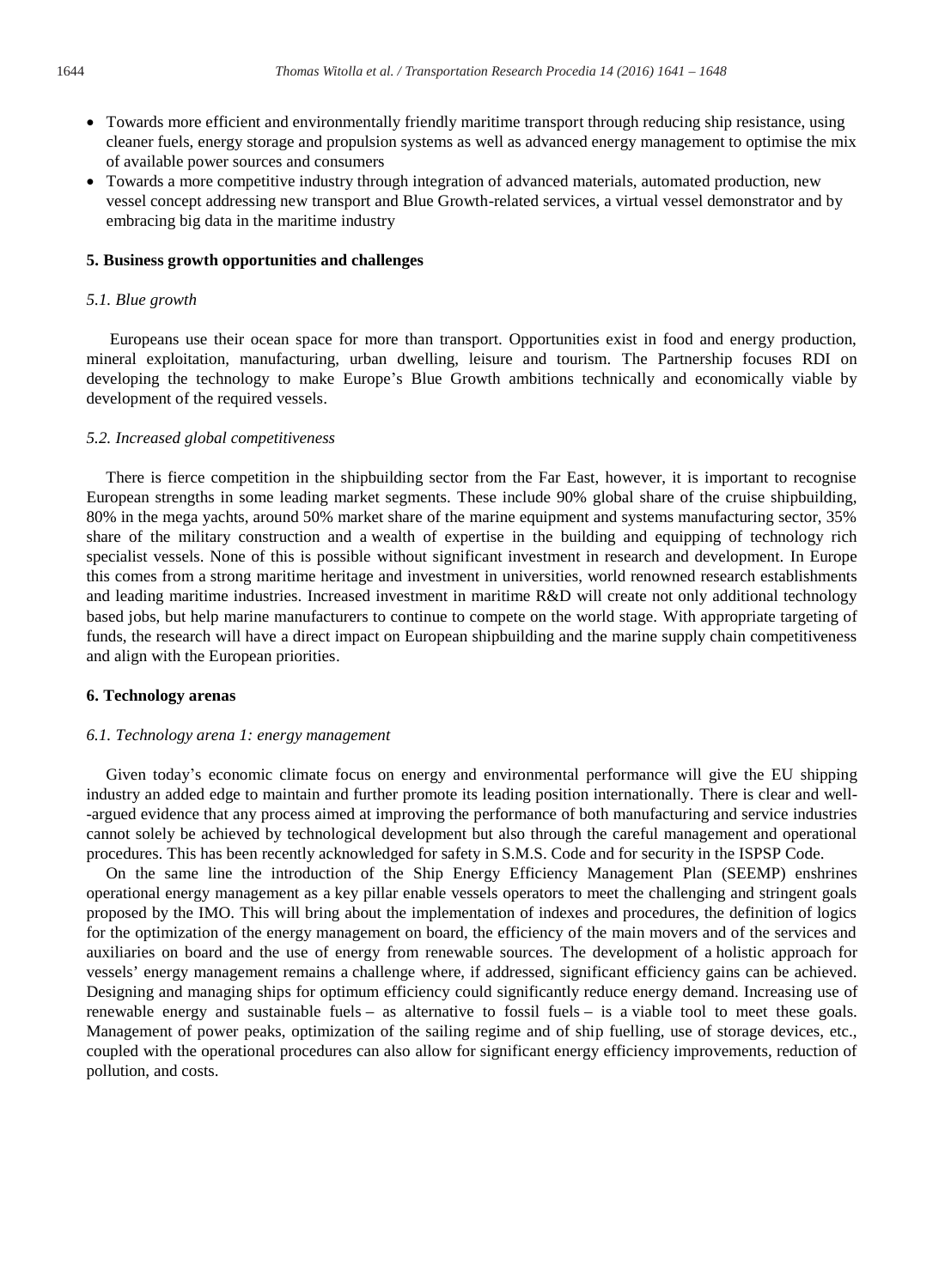- Towards more efficient and environmentally friendly maritime transport through reducing ship resistance, using cleaner fuels, energy storage and propulsion systems as well as advanced energy management to optimise the mix of available power sources and consumers
- Towards a more competitive industry through integration of advanced materials, automated production, new vessel concept addressing new transport and Blue Growth-related services, a virtual vessel demonstrator and by embracing big data in the maritime industry

#### **5. Business growth opportunities and challenges**

#### *5.1. Blue growth*

Europeans use their ocean space for more than transport. Opportunities exist in food and energy production, mineral exploitation, manufacturing, urban dwelling, leisure and tourism. The Partnership focuses RDI on developing the technology to make Europe's Blue Growth ambitions technically and economically viable by development of the required vessels.

#### *5.2. Increased global competitiveness*

There is fierce competition in the shipbuilding sector from the Far East, however, it is important to recognise European strengths in some leading market segments. These include 90% global share of the cruise shipbuilding, 80% in the mega yachts, around 50% market share of the marine equipment and systems manufacturing sector, 35% share of the military construction and a wealth of expertise in the building and equipping of technology rich specialist vessels. None of this is possible without significant investment in research and development. In Europe this comes from a strong maritime heritage and investment in universities, world renowned research establishments and leading maritime industries. Increased investment in maritime R&D will create not only additional technology based jobs, but help marine manufacturers to continue to compete on the world stage. With appropriate targeting of funds, the research will have a direct impact on European shipbuilding and the marine supply chain competitiveness and align with the European priorities.

#### **6. Technology arenas**

#### *6.1. Technology arena 1: energy management*

Given today's economic climate focus on energy and environmental performance will give the EU shipping industry an added edge to maintain and further promote its leading position internationally. There is clear and well- -argued evidence that any process aimed at improving the performance of both manufacturing and service industries cannot solely be achieved by technological development but also through the careful management and operational procedures. This has been recently acknowledged for safety in S.M.S. Code and for security in the ISPSP Code.

On the same line the introduction of the Ship Energy Efficiency Management Plan (SEEMP) enshrines operational energy management as a key pillar enable vessels operators to meet the challenging and stringent goals proposed by the IMO. This will bring about the implementation of indexes and procedures, the definition of logics for the optimization of the energy management on board, the efficiency of the main movers and of the services and auxiliaries on board and the use of energy from renewable sources. The development of a holistic approach for vessels' energy management remains a challenge where, if addressed, significant efficiency gains can be achieved. Designing and managing ships for optimum efficiency could significantly reduce energy demand. Increasing use of renewable energy and sustainable fuels – as alternative to fossil fuels – is a viable tool to meet these goals. Management of power peaks, optimization of the sailing regime and of ship fuelling, use of storage devices, etc., coupled with the operational procedures can also allow for significant energy efficiency improvements, reduction of pollution, and costs.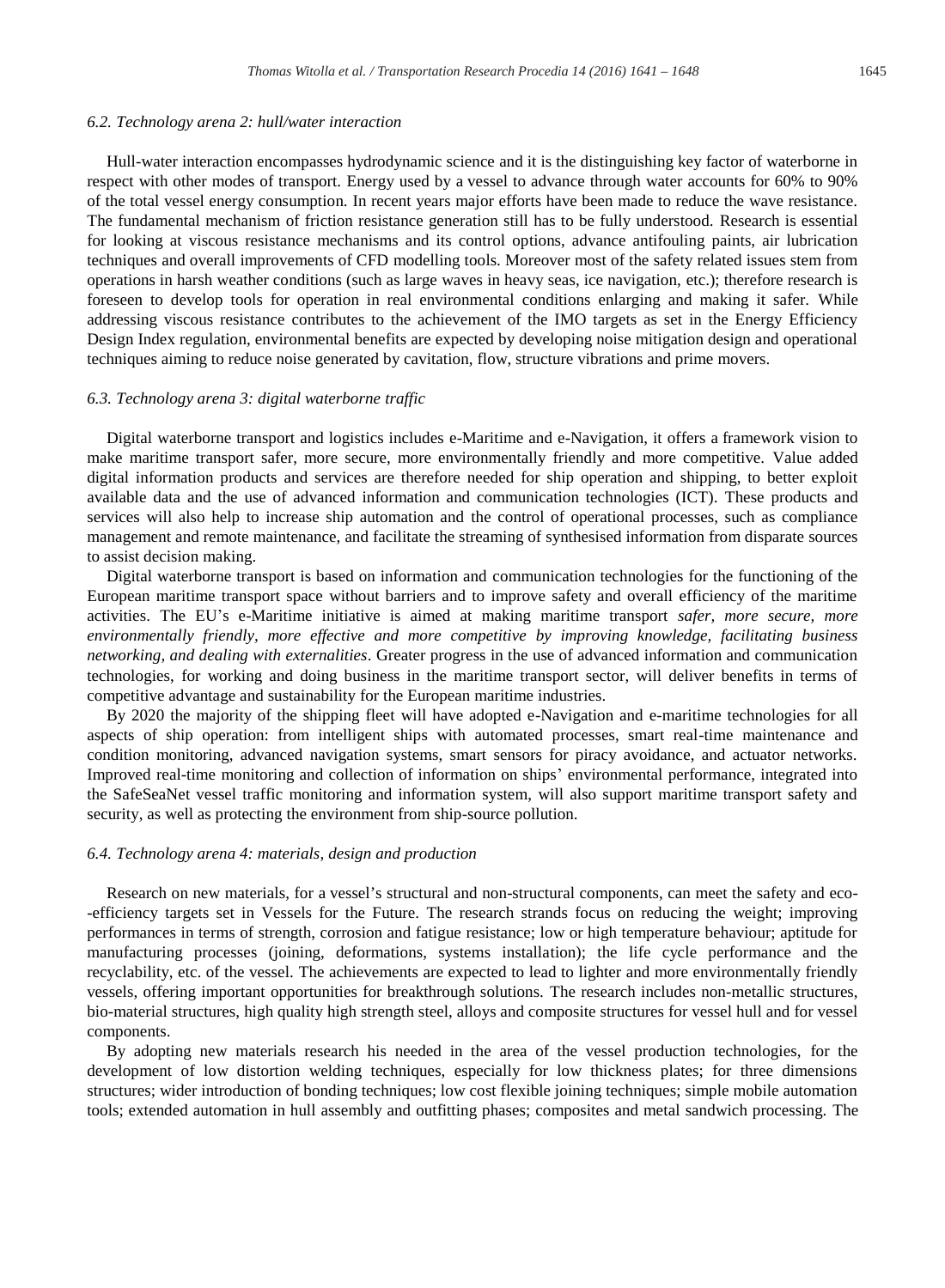#### *6.2. Technology arena 2: hull/water interaction*

Hull-water interaction encompasses hydrodynamic science and it is the distinguishing key factor of waterborne in respect with other modes of transport. Energy used by a vessel to advance through water accounts for 60% to 90% of the total vessel energy consumption. In recent years major efforts have been made to reduce the wave resistance. The fundamental mechanism of friction resistance generation still has to be fully understood. Research is essential for looking at viscous resistance mechanisms and its control options, advance antifouling paints, air lubrication techniques and overall improvements of CFD modelling tools. Moreover most of the safety related issues stem from operations in harsh weather conditions (such as large waves in heavy seas, ice navigation, etc.); therefore research is foreseen to develop tools for operation in real environmental conditions enlarging and making it safer. While addressing viscous resistance contributes to the achievement of the IMO targets as set in the Energy Efficiency Design Index regulation, environmental benefits are expected by developing noise mitigation design and operational techniques aiming to reduce noise generated by cavitation, flow, structure vibrations and prime movers.

#### *6.3. Technology arena 3: digital waterborne traffic*

Digital waterborne transport and logistics includes e-Maritime and e-Navigation, it offers a framework vision to make maritime transport safer, more secure, more environmentally friendly and more competitive. Value added digital information products and services are therefore needed for ship operation and shipping, to better exploit available data and the use of advanced information and communication technologies (ICT). These products and services will also help to increase ship automation and the control of operational processes, such as compliance management and remote maintenance, and facilitate the streaming of synthesised information from disparate sources to assist decision making.

Digital waterborne transport is based on information and communication technologies for the functioning of the European maritime transport space without barriers and to improve safety and overall efficiency of the maritime activities. The EU's e-Maritime initiative is aimed at making maritime transport *safer, more secure, more environmentally friendly, more effective and more competitive by improving knowledge, facilitating business networking, and dealing with externalities*. Greater progress in the use of advanced information and communication technologies, for working and doing business in the maritime transport sector, will deliver benefits in terms of competitive advantage and sustainability for the European maritime industries.

By 2020 the majority of the shipping fleet will have adopted e-Navigation and e-maritime technologies for all aspects of ship operation: from intelligent ships with automated processes, smart real-time maintenance and condition monitoring, advanced navigation systems, smart sensors for piracy avoidance, and actuator networks. Improved real-time monitoring and collection of information on ships' environmental performance, integrated into the SafeSeaNet vessel traffic monitoring and information system, will also support maritime transport safety and security, as well as protecting the environment from ship-source pollution.

#### *6.4. Technology arena 4: materials, design and production*

Research on new materials, for a vessel's structural and non-structural components, can meet the safety and eco- -efficiency targets set in Vessels for the Future. The research strands focus on reducing the weight; improving performances in terms of strength, corrosion and fatigue resistance; low or high temperature behaviour; aptitude for manufacturing processes (joining, deformations, systems installation); the life cycle performance and the recyclability, etc. of the vessel. The achievements are expected to lead to lighter and more environmentally friendly vessels, offering important opportunities for breakthrough solutions. The research includes non-metallic structures, bio-material structures, high quality high strength steel, alloys and composite structures for vessel hull and for vessel components.

By adopting new materials research his needed in the area of the vessel production technologies, for the development of low distortion welding techniques, especially for low thickness plates; for three dimensions structures; wider introduction of bonding techniques; low cost flexible joining techniques; simple mobile automation tools; extended automation in hull assembly and outfitting phases; composites and metal sandwich processing. The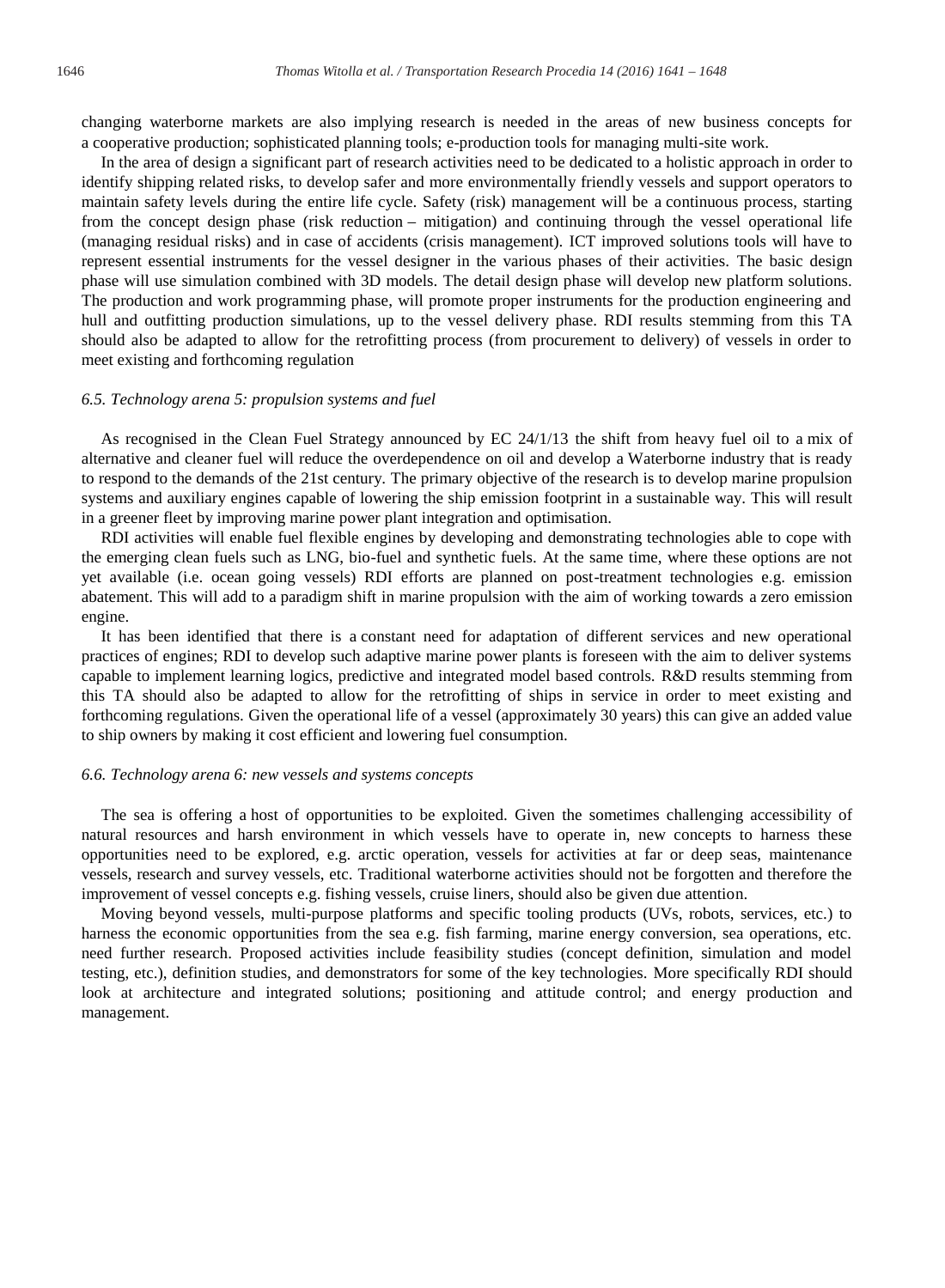changing waterborne markets are also implying research is needed in the areas of new business concepts for a cooperative production; sophisticated planning tools; e-production tools for managing multi-site work.

In the area of design a significant part of research activities need to be dedicated to a holistic approach in order to identify shipping related risks, to develop safer and more environmentally friendly vessels and support operators to maintain safety levels during the entire life cycle. Safety (risk) management will be a continuous process, starting from the concept design phase (risk reduction – mitigation) and continuing through the vessel operational life (managing residual risks) and in case of accidents (crisis management). ICT improved solutions tools will have to represent essential instruments for the vessel designer in the various phases of their activities. The basic design phase will use simulation combined with 3D models. The detail design phase will develop new platform solutions. The production and work programming phase, will promote proper instruments for the production engineering and hull and outfitting production simulations, up to the vessel delivery phase. RDI results stemming from this TA should also be adapted to allow for the retrofitting process (from procurement to delivery) of vessels in order to meet existing and forthcoming regulation

#### *6.5. Technology arena 5: propulsion systems and fuel*

As recognised in the Clean Fuel Strategy announced by EC 24/1/13 the shift from heavy fuel oil to a mix of alternative and cleaner fuel will reduce the overdependence on oil and develop a Waterborne industry that is ready to respond to the demands of the 21st century. The primary objective of the research is to develop marine propulsion systems and auxiliary engines capable of lowering the ship emission footprint in a sustainable way. This will result in a greener fleet by improving marine power plant integration and optimisation.

RDI activities will enable fuel flexible engines by developing and demonstrating technologies able to cope with the emerging clean fuels such as LNG, bio-fuel and synthetic fuels. At the same time, where these options are not yet available (i.e. ocean going vessels) RDI efforts are planned on post-treatment technologies e.g. emission abatement. This will add to a paradigm shift in marine propulsion with the aim of working towards a zero emission engine.

It has been identified that there is a constant need for adaptation of different services and new operational practices of engines; RDI to develop such adaptive marine power plants is foreseen with the aim to deliver systems capable to implement learning logics, predictive and integrated model based controls. R&D results stemming from this TA should also be adapted to allow for the retrofitting of ships in service in order to meet existing and forthcoming regulations. Given the operational life of a vessel (approximately 30 years) this can give an added value to ship owners by making it cost efficient and lowering fuel consumption.

#### *6.6. Technology arena 6: new vessels and systems concepts*

The sea is offering a host of opportunities to be exploited. Given the sometimes challenging accessibility of natural resources and harsh environment in which vessels have to operate in, new concepts to harness these opportunities need to be explored, e.g. arctic operation, vessels for activities at far or deep seas, maintenance vessels, research and survey vessels, etc. Traditional waterborne activities should not be forgotten and therefore the improvement of vessel concepts e.g. fishing vessels, cruise liners, should also be given due attention.

Moving beyond vessels, multi-purpose platforms and specific tooling products (UVs, robots, services, etc.) to harness the economic opportunities from the sea e.g. fish farming, marine energy conversion, sea operations, etc. need further research. Proposed activities include feasibility studies (concept definition, simulation and model testing, etc.), definition studies, and demonstrators for some of the key technologies. More specifically RDI should look at architecture and integrated solutions; positioning and attitude control; and energy production and management.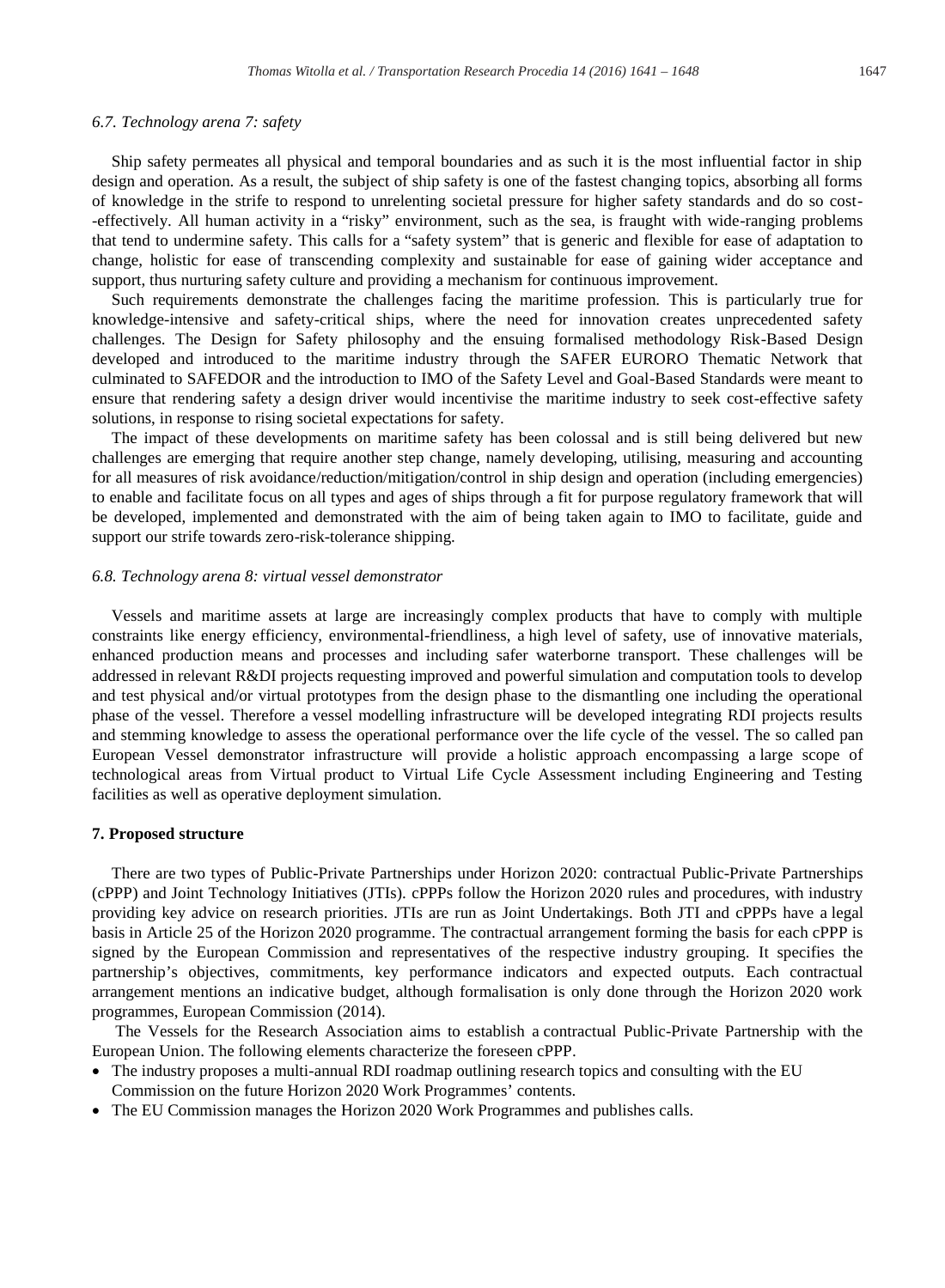#### *6.7. Technology arena 7: safety*

Ship safety permeates all physical and temporal boundaries and as such it is the most influential factor in ship design and operation. As a result, the subject of ship safety is one of the fastest changing topics, absorbing all forms of knowledge in the strife to respond to unrelenting societal pressure for higher safety standards and do so cost- -effectively. All human activity in a "risky" environment, such as the sea, is fraught with wide-ranging problems that tend to undermine safety. This calls for a "safety system" that is generic and flexible for ease of adaptation to change, holistic for ease of transcending complexity and sustainable for ease of gaining wider acceptance and support, thus nurturing safety culture and providing a mechanism for continuous improvement.

Such requirements demonstrate the challenges facing the maritime profession. This is particularly true for knowledge-intensive and safety-critical ships, where the need for innovation creates unprecedented safety challenges. The Design for Safety philosophy and the ensuing formalised methodology Risk-Based Design developed and introduced to the maritime industry through the SAFER EURORO Thematic Network that culminated to SAFEDOR and the introduction to IMO of the Safety Level and Goal-Based Standards were meant to ensure that rendering safety a design driver would incentivise the maritime industry to seek cost-effective safety solutions, in response to rising societal expectations for safety.

The impact of these developments on maritime safety has been colossal and is still being delivered but new challenges are emerging that require another step change, namely developing, utilising, measuring and accounting for all measures of risk avoidance/reduction/mitigation/control in ship design and operation (including emergencies) to enable and facilitate focus on all types and ages of ships through a fit for purpose regulatory framework that will be developed, implemented and demonstrated with the aim of being taken again to IMO to facilitate, guide and support our strife towards zero-risk-tolerance shipping.

#### *6.8. Technology arena 8: virtual vessel demonstrator*

Vessels and maritime assets at large are increasingly complex products that have to comply with multiple constraints like energy efficiency, environmental-friendliness, a high level of safety, use of innovative materials, enhanced production means and processes and including safer waterborne transport. These challenges will be addressed in relevant R&DI projects requesting improved and powerful simulation and computation tools to develop and test physical and/or virtual prototypes from the design phase to the dismantling one including the operational phase of the vessel. Therefore a vessel modelling infrastructure will be developed integrating RDI projects results and stemming knowledge to assess the operational performance over the life cycle of the vessel. The so called pan European Vessel demonstrator infrastructure will provide a holistic approach encompassing a large scope of technological areas from Virtual product to Virtual Life Cycle Assessment including Engineering and Testing facilities as well as operative deployment simulation.

#### **7. Proposed structure**

There are two types of Public-Private Partnerships under Horizon 2020: contractual Public-Private Partnerships (cPPP) and Joint Technology Initiatives (JTIs). cPPPs follow the Horizon 2020 rules and procedures, with industry providing key advice on research priorities. JTIs are run as Joint Undertakings. Both JTI and cPPPs have a legal basis in Article 25 of the Horizon 2020 programme. The contractual arrangement forming the basis for each cPPP is signed by the European Commission and representatives of the respective industry grouping. It specifies the partnership's objectives, commitments, key performance indicators and expected outputs. Each contractual arrangement mentions an indicative budget, although formalisation is only done through the Horizon 2020 work programmes, European Commission (2014).

The Vessels for the Research Association aims to establish a contractual Public-Private Partnership with the European Union. The following elements characterize the foreseen cPPP.

- The industry proposes a multi-annual RDI roadmap outlining research topics and consulting with the EU Commission on the future Horizon 2020 Work Programmes' contents.
- The EU Commission manages the Horizon 2020 Work Programmes and publishes calls.